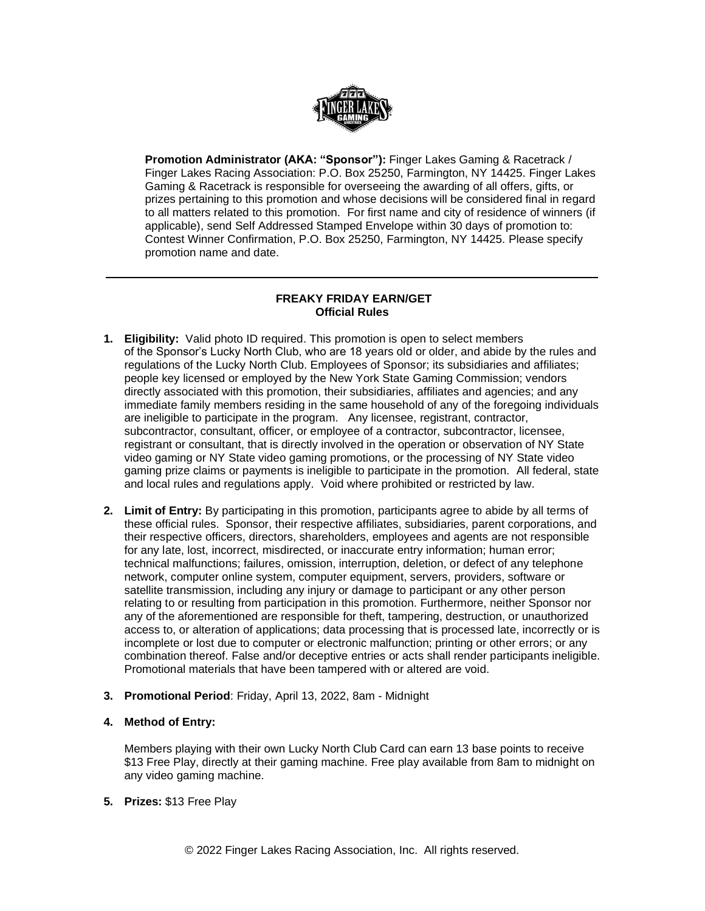

**Promotion Administrator (AKA: "Sponsor"):** Finger Lakes Gaming & Racetrack / Finger Lakes Racing Association: P.O. Box 25250, Farmington, NY 14425. Finger Lakes Gaming & Racetrack is responsible for overseeing the awarding of all offers, gifts, or prizes pertaining to this promotion and whose decisions will be considered final in regard to all matters related to this promotion. For first name and city of residence of winners (if applicable), send Self Addressed Stamped Envelope within 30 days of promotion to: Contest Winner Confirmation, P.O. Box 25250, Farmington, NY 14425. Please specify promotion name and date.

## **FREAKY FRIDAY EARN/GET Official Rules**

- **1. Eligibility:** Valid photo ID required. This promotion is open to select members of the Sponsor's Lucky North Club, who are 18 years old or older, and abide by the rules and regulations of the Lucky North Club. Employees of Sponsor; its subsidiaries and affiliates; people key licensed or employed by the New York State Gaming Commission; vendors directly associated with this promotion, their subsidiaries, affiliates and agencies; and any immediate family members residing in the same household of any of the foregoing individuals are ineligible to participate in the program. Any licensee, registrant, contractor, subcontractor, consultant, officer, or employee of a contractor, subcontractor, licensee, registrant or consultant, that is directly involved in the operation or observation of NY State video gaming or NY State video gaming promotions, or the processing of NY State video gaming prize claims or payments is ineligible to participate in the promotion. All federal, state and local rules and regulations apply. Void where prohibited or restricted by law.
- **2. Limit of Entry:** By participating in this promotion, participants agree to abide by all terms of these official rules. Sponsor, their respective affiliates, subsidiaries, parent corporations, and their respective officers, directors, shareholders, employees and agents are not responsible for any late, lost, incorrect, misdirected, or inaccurate entry information; human error; technical malfunctions; failures, omission, interruption, deletion, or defect of any telephone network, computer online system, computer equipment, servers, providers, software or satellite transmission, including any injury or damage to participant or any other person relating to or resulting from participation in this promotion. Furthermore, neither Sponsor nor any of the aforementioned are responsible for theft, tampering, destruction, or unauthorized access to, or alteration of applications; data processing that is processed late, incorrectly or is incomplete or lost due to computer or electronic malfunction; printing or other errors; or any combination thereof. False and/or deceptive entries or acts shall render participants ineligible. Promotional materials that have been tampered with or altered are void.
- **3. Promotional Period**: Friday, April 13, 2022, 8am Midnight
- **4. Method of Entry:**

Members playing with their own Lucky North Club Card can earn 13 base points to receive \$13 Free Play, directly at their gaming machine. Free play available from 8am to midnight on any video gaming machine.

**5. Prizes:** \$13 Free Play